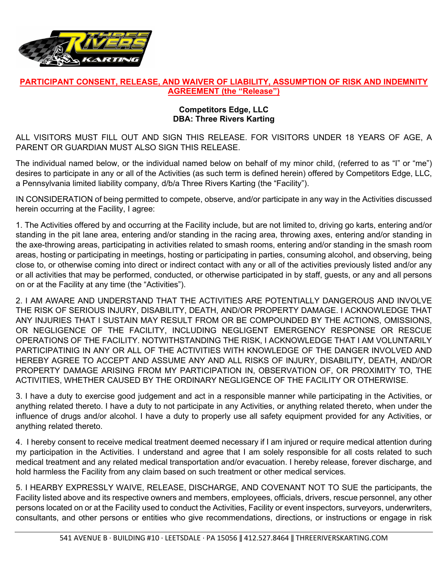

## **PARTICIPANT CONSENT, RELEASE, AND WAIVER OF LIABILITY, ASSUMPTION OF RISK AND INDEMNITY AGREEMENT (the "Release")**

## **Competitors Edge, LLC DBA: Three Rivers Karting**

ALL VISITORS MUST FILL OUT AND SIGN THIS RELEASE. FOR VISITORS UNDER 18 YEARS OF AGE, A PARENT OR GUARDIAN MUST ALSO SIGN THIS RELEASE.

The individual named below, or the individual named below on behalf of my minor child, (referred to as "I" or "me") desires to participate in any or all of the Activities (as such term is defined herein) offered by Competitors Edge, LLC, a Pennsylvania limited liability company, d/b/a Three Rivers Karting (the "Facility").

IN CONSIDERATION of being permitted to compete, observe, and/or participate in any way in the Activities discussed herein occurring at the Facility, I agree:

1. The Activities offered by and occurring at the Facility include, but are not limited to, driving go karts, entering and/or standing in the pit lane area, entering and/or standing in the racing area, throwing axes, entering and/or standing in the axe-throwing areas, participating in activities related to smash rooms, entering and/or standing in the smash room areas, hosting or participating in meetings, hosting or participating in parties, consuming alcohol, and observing, being close to, or otherwise coming into direct or indirect contact with any or all of the activities previously listed and/or any or all activities that may be performed, conducted, or otherwise participated in by staff, guests, or any and all persons on or at the Facility at any time (the "Activities").

2. I AM AWARE AND UNDERSTAND THAT THE ACTIVITIES ARE POTENTIALLY DANGEROUS AND INVOLVE THE RISK OF SERIOUS INJURY, DISABILITY, DEATH, AND/OR PROPERTY DAMAGE. I ACKNOWLEDGE THAT ANY INJURIES THAT I SUSTAIN MAY RESULT FROM OR BE COMPOUNDED BY THE ACTIONS, OMISSIONS, OR NEGLIGENCE OF THE FACILITY, INCLUDING NEGLIGENT EMERGENCY RESPONSE OR RESCUE OPERATIONS OF THE FACILITY. NOTWITHSTANDING THE RISK, I ACKNOWLEDGE THAT I AM VOLUNTARILY PARTICIPATINIG IN ANY OR ALL OF THE ACTIVITIES WITH KNOWLEDGE OF THE DANGER INVOLVED AND HEREBY AGREE TO ACCEPT AND ASSUME ANY AND ALL RISKS OF INJURY, DISABILITY, DEATH, AND/OR PROPERTY DAMAGE ARISING FROM MY PARTICIPATION IN, OBSERVATION OF, OR PROXIMITY TO, THE ACTIVITIES, WHETHER CAUSED BY THE ORDINARY NEGLIGENCE OF THE FACILITY OR OTHERWISE.

3. I have a duty to exercise good judgement and act in a responsible manner while participating in the Activities, or anything related thereto. I have a duty to not participate in any Activities, or anything related thereto, when under the influence of drugs and/or alcohol. I have a duty to properly use all safety equipment provided for any Activities, or anything related thereto.

4. I hereby consent to receive medical treatment deemed necessary if I am injured or require medical attention during my participation in the Activities. I understand and agree that I am solely responsible for all costs related to such medical treatment and any related medical transportation and/or evacuation. I hereby release, forever discharge, and hold harmless the Facility from any claim based on such treatment or other medical services.

5. I HEARBY EXPRESSLY WAIVE, RELEASE, DISCHARGE, AND COVENANT NOT TO SUE the participants, the Facility listed above and its respective owners and members, employees, officials, drivers, rescue personnel, any other persons located on or at the Facility used to conduct the Activities, Facility or event inspectors, surveyors, underwriters, consultants, and other persons or entities who give recommendations, directions, or instructions or engage in risk